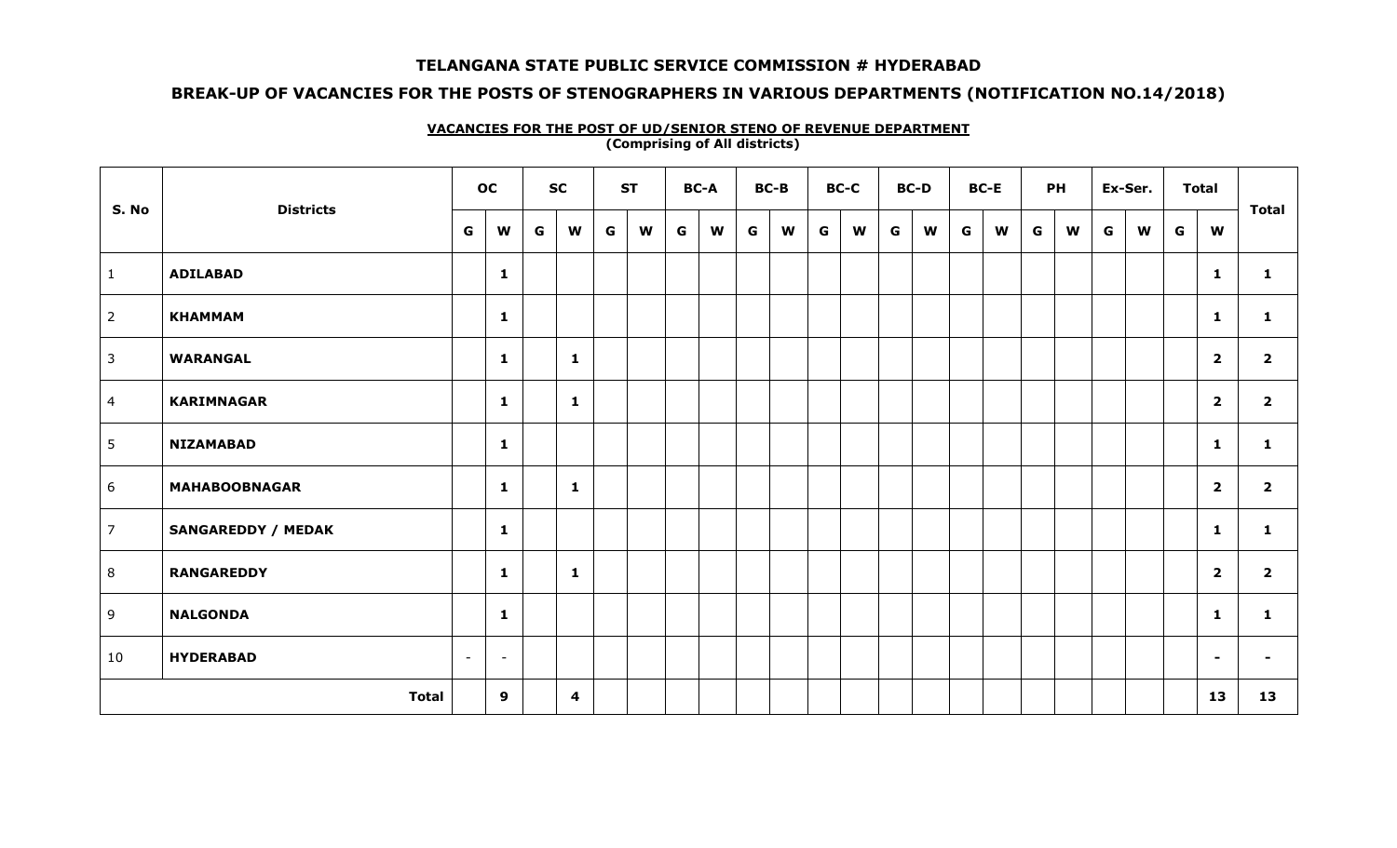### **BREAK-UP OF VACANCIES FOR THE POSTS OF STENOGRAPHERS IN VARIOUS DEPARTMENTS (NOTIFICATION NO.14/2018)**

|                 |                           | oc                                 |   | <b>SC</b>               |   | <b>ST</b> |   | <b>BC-A</b> |   | <b>BC-B</b> |   | <b>BC-C</b> |   | <b>BC-D</b> |   | <b>BC-E</b> |   | <b>PH</b> |   | Ex-Ser. |   | <b>Total</b>            |                         |
|-----------------|---------------------------|------------------------------------|---|-------------------------|---|-----------|---|-------------|---|-------------|---|-------------|---|-------------|---|-------------|---|-----------|---|---------|---|-------------------------|-------------------------|
| S. No           | <b>Districts</b>          | G<br>W                             | G | W                       | G | W         | G | W           | G | W           | G | W           | G | W           | G | W           | G | W         | G | W       | G | W                       | <b>Total</b>            |
| $\mathbf{1}$    | <b>ADILABAD</b>           | $\mathbf{1}$                       |   |                         |   |           |   |             |   |             |   |             |   |             |   |             |   |           |   |         |   | $\mathbf{1}$            | $\mathbf{1}$            |
| $\overline{2}$  | <b>KHAMMAM</b>            | $\mathbf{1}$                       |   |                         |   |           |   |             |   |             |   |             |   |             |   |             |   |           |   |         |   | $\mathbf{1}$            | $\mathbf{1}$            |
| $\mathbf{3}$    | <b>WARANGAL</b>           | $\mathbf{1}$                       |   | $\mathbf{1}$            |   |           |   |             |   |             |   |             |   |             |   |             |   |           |   |         |   | $\overline{\mathbf{2}}$ | $\overline{2}$          |
| $\overline{4}$  | <b>KARIMNAGAR</b>         | $\mathbf{1}$                       |   | 1                       |   |           |   |             |   |             |   |             |   |             |   |             |   |           |   |         |   | $\overline{\mathbf{2}}$ | $\overline{2}$          |
| $5\phantom{.0}$ | <b>NIZAMABAD</b>          | $\mathbf{1}$                       |   |                         |   |           |   |             |   |             |   |             |   |             |   |             |   |           |   |         |   | $\mathbf{1}$            | $\mathbf{1}$            |
| 6               | <b>MAHABOOBNAGAR</b>      | $\mathbf{1}$                       |   | $\mathbf{1}$            |   |           |   |             |   |             |   |             |   |             |   |             |   |           |   |         |   | $\overline{\mathbf{2}}$ | $\overline{2}$          |
| $\overline{7}$  | <b>SANGAREDDY / MEDAK</b> | $\mathbf{1}$                       |   |                         |   |           |   |             |   |             |   |             |   |             |   |             |   |           |   |         |   | $\mathbf{1}$            | $\mathbf{1}$            |
| 8               | <b>RANGAREDDY</b>         | $\mathbf{1}$                       |   | 1                       |   |           |   |             |   |             |   |             |   |             |   |             |   |           |   |         |   | $\overline{\mathbf{2}}$ | $\overline{\mathbf{2}}$ |
| 9               | <b>NALGONDA</b>           | $\mathbf{1}$                       |   |                         |   |           |   |             |   |             |   |             |   |             |   |             |   |           |   |         |   | $\mathbf{1}$            | $\mathbf{1}$            |
| 10              | <b>HYDERABAD</b>          | $\sim$<br>$\overline{\phantom{a}}$ |   |                         |   |           |   |             |   |             |   |             |   |             |   |             |   |           |   |         |   | $\sim$                  | $\sim$                  |
|                 | <b>Total</b>              | 9                                  |   | $\overline{\mathbf{4}}$ |   |           |   |             |   |             |   |             |   |             |   |             |   |           |   |         |   | 13                      | 13                      |

#### **VACANCIES FOR THE POST OF UD/SENIOR STENO OF REVENUE DEPARTMENT (Comprising of All districts)**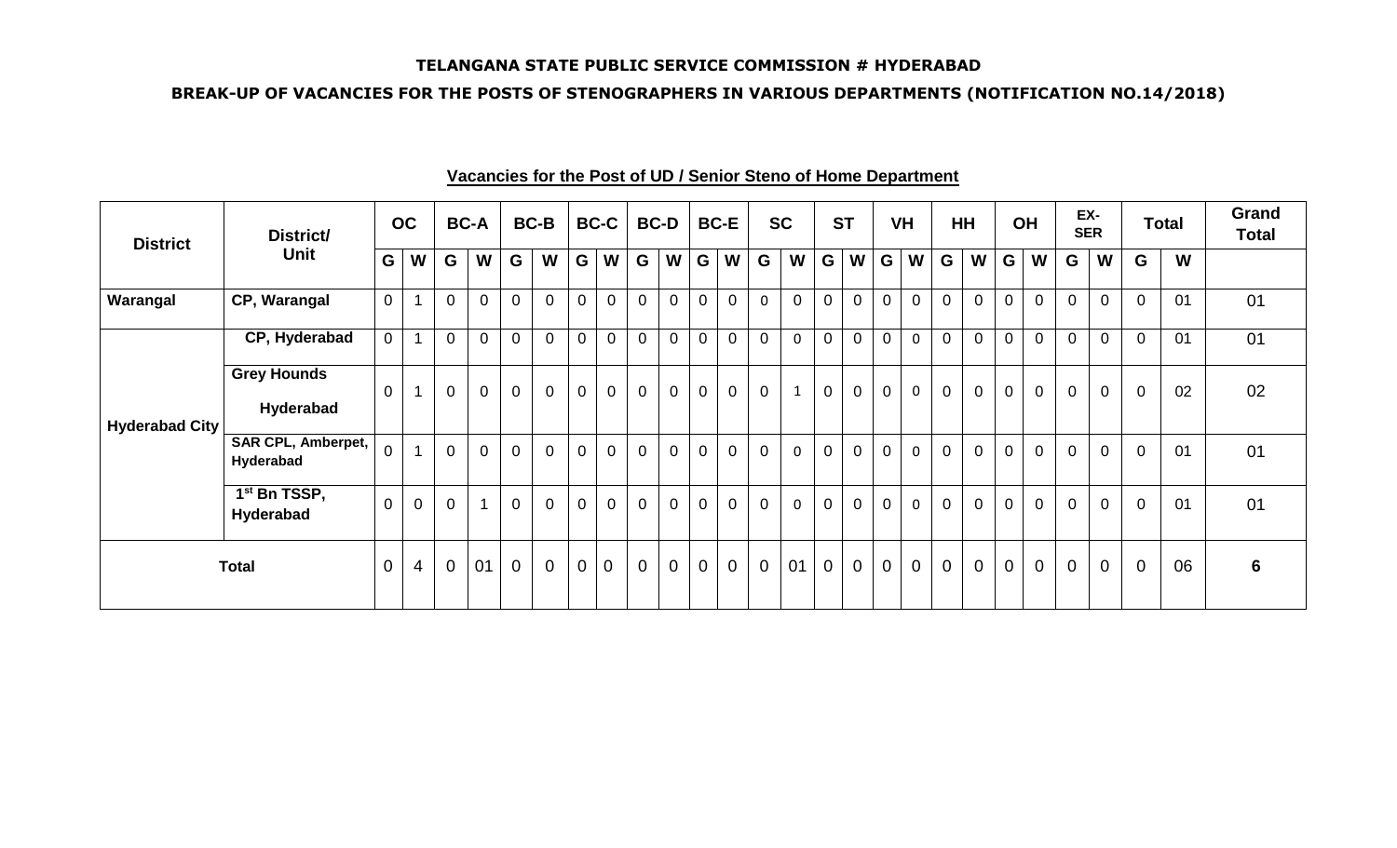### **BREAK-UP OF VACANCIES FOR THE POSTS OF STENOGRAPHERS IN VARIOUS DEPARTMENTS (NOTIFICATION NO.14/2018)**

| <b>District</b>       | District/                              |                | OC             |                | <b>BC-A</b>             |                | <b>BC-B</b>    |                | <b>BC-C</b>    |                | <b>BC-D</b>    |                | <b>BC-E</b>    |             | <b>SC</b>    |                | <b>ST</b>      |                | <b>VH</b>      |                | <b>HH</b>      |                | OH             |                | EX-<br><b>SER</b> |                | <b>Total</b> | Grand<br><b>Total</b> |
|-----------------------|----------------------------------------|----------------|----------------|----------------|-------------------------|----------------|----------------|----------------|----------------|----------------|----------------|----------------|----------------|-------------|--------------|----------------|----------------|----------------|----------------|----------------|----------------|----------------|----------------|----------------|-------------------|----------------|--------------|-----------------------|
|                       | Unit                                   | G              | W              | G              | W                       | G              | W              | G              | W              | G              | W              | G              | W              | G           | W            | G              | W              | G              | W              | G              | W              | G              | W              | G              | W                 | G              | W            |                       |
| Warangal              | CP, Warangal                           | $\overline{0}$ |                | $\overline{0}$ | $\overline{0}$          | $\overline{0}$ | $\mathbf 0$    | $\overline{0}$ | $\overline{0}$ | $\mathbf 0$    | $\overline{0}$ | $\overline{0}$ | $\mathbf 0$    | $\mathbf 0$ | $\mathbf 0$  | $\mathbf 0$    | $\overline{0}$ | $\mathbf 0$    | $\mathbf 0$    | $\mathbf 0$    | $\overline{0}$ | $\overline{0}$ | $\mathbf 0$    | $\mathbf 0$    | $\mathbf 0$       | $\mathbf 0$    | 01           | 01                    |
|                       | CP, Hyderabad                          | $\overline{0}$ |                | $\overline{0}$ | $\mathbf 0$             | $\overline{0}$ | $\mathbf 0$    | $\overline{0}$ | $\mathbf 0$    | $\mathbf 0$    | $\mathbf 0$    | $\mathbf 0$    | $\mathbf 0$    | $\mathbf 0$ | 0            | $\overline{0}$ | $\overline{0}$ | $\mathbf 0$    | $\mathbf 0$    | $\overline{0}$ | $\overline{0}$ | $\overline{0}$ | $\mathbf 0$    | $\mathbf 0$    | $\overline{0}$    | $\mathbf 0$    | 01           | 01                    |
| <b>Hyderabad City</b> | <b>Grey Hounds</b><br>Hyderabad        | $\overline{0}$ |                | $\Omega$       | $\overline{0}$          | $\overline{0}$ | $\overline{0}$ | $\overline{0}$ | $\mathbf 0$    | $\mathbf 0$    | $\overline{0}$ | $\mathbf 0$    | $\overline{0}$ | $\mathbf 0$ | $\mathbf{1}$ | $\overline{0}$ | $\overline{0}$ | $\overline{0}$ | $\mathbf 0$    | $\overline{0}$ | $\overline{0}$ | $\mathbf 0$    | $\mathbf 0$    | $\overline{0}$ | $\overline{0}$    | $\mathbf 0$    | 02           | 02                    |
|                       | <b>SAR CPL, Amberpet,</b><br>Hyderabad | $\overline{0}$ |                | $\overline{0}$ | $\overline{0}$          | $\overline{0}$ | $\overline{0}$ | $\mathbf 0$    | $\overline{0}$ | $\overline{0}$ | $\overline{0}$ | $\mathbf 0$    | $\overline{0}$ | $\mathbf 0$ | $\mathbf 0$  | $\mathbf 0$    | $\overline{0}$ | $\mathbf 0$    | $\mathbf 0$    | $\overline{0}$ | $\overline{0}$ | $\overline{0}$ | $\overline{0}$ | $\overline{0}$ | $\mathbf 0$       | $\mathbf 0$    | 01           | 01                    |
|                       | 1 <sup>st</sup> Bn TSSP,<br>Hyderabad  | $\overline{0}$ | $\overline{0}$ | $\overline{0}$ | $\overline{\mathbf{A}}$ | $\overline{0}$ | $\overline{0}$ | $\overline{0}$ | $\overline{0}$ | $\mathbf 0$    | $\overline{0}$ | $\pmb{0}$      | $\overline{0}$ | $\mathbf 0$ | $\mathbf 0$  | $\mathbf 0$    | $\overline{0}$ | $\mathbf 0$    | 0              | $\overline{0}$ | $\overline{0}$ | $\overline{0}$ | $\pmb{0}$      | $\mathbf 0$    | $\mathbf 0$       | $\overline{0}$ | 01           | 01                    |
|                       | <b>Total</b>                           | $\overline{0}$ | $\overline{4}$ | $\overline{0}$ | 01                      | $\overline{0}$ | $\overline{0}$ | $\overline{0}$ | $\overline{0}$ | $\mathbf 0$    | $\mathbf 0$    | $\overline{0}$ | $\overline{0}$ | $\mathbf 0$ | 01           | $\overline{0}$ | $\overline{0}$ | $\mathbf 0$    | $\overline{0}$ | $\overline{0}$ | $\overline{0}$ | $\mathbf 0$    | $\overline{0}$ | $\mathbf 0$    | $\mathbf 0$       | $\mathbf 0$    | 06           | $6\phantom{1}$        |

# **Vacancies for the Post of UD / Senior Steno of Home Department**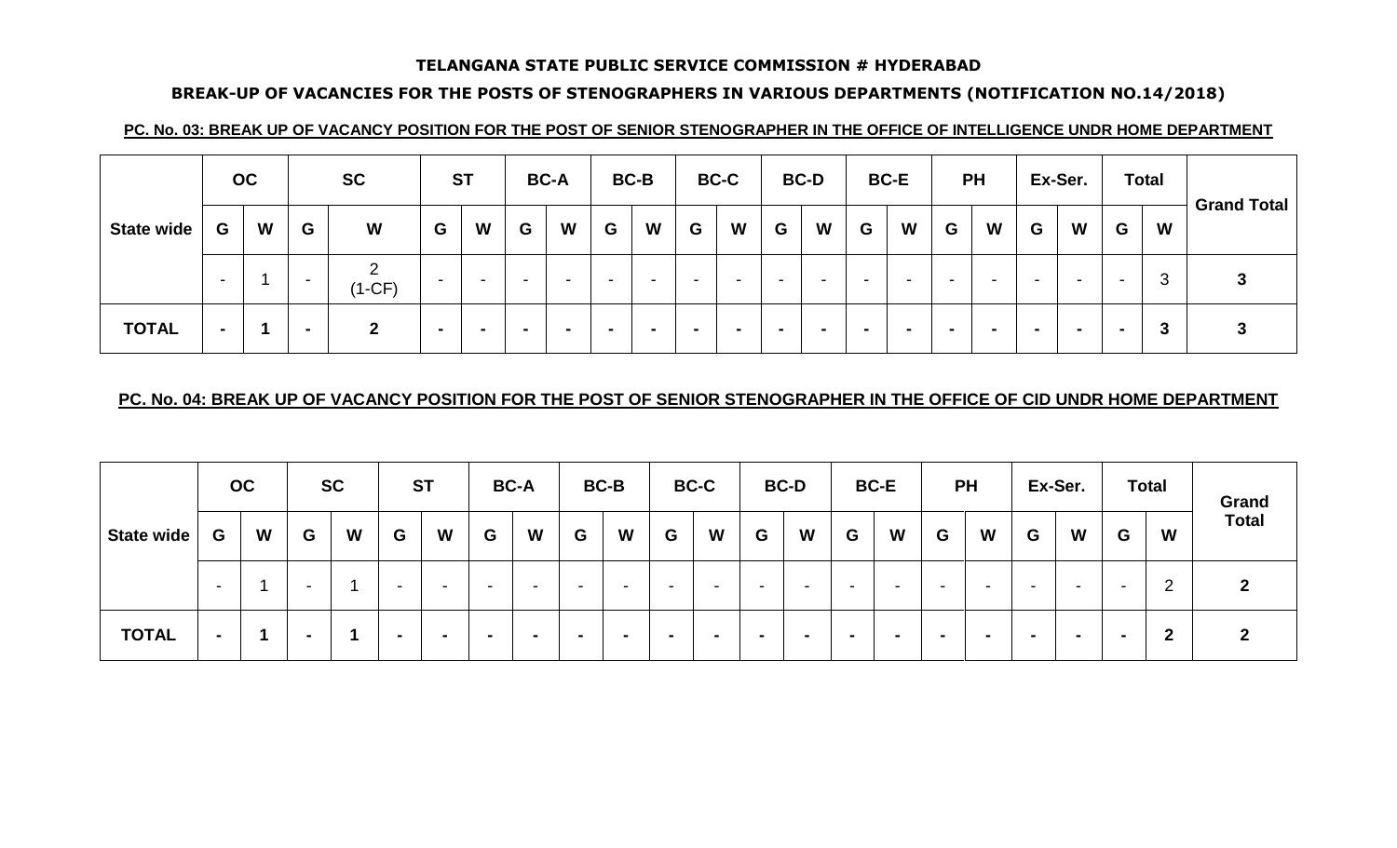# **BREAK-UP OF VACANCIES FOR THE POSTS OF STENOGRAPHERS IN VARIOUS DEPARTMENTS (NOTIFICATION NO.14/2018)**

### **PC. No. 03: BREAK UP OF VACANCY POSITION FOR THE POST OF SENIOR STENOGRAPHER IN THE OFFICE OF INTELLIGENCE UNDR HOME DEPARTMENT**

|                   |                          | OC |                | <b>SC</b>    |                          | <b>ST</b>                |                          | <b>BC-A</b>              |                          | <b>BC-B</b>              |   | <b>BC-C</b> |                          | <b>BC-D</b>              |   | <b>BC-E</b>              |                          | <b>PH</b>                |                          | Ex-Ser. |                          | <b>Total</b> | <b>Grand Total</b> |
|-------------------|--------------------------|----|----------------|--------------|--------------------------|--------------------------|--------------------------|--------------------------|--------------------------|--------------------------|---|-------------|--------------------------|--------------------------|---|--------------------------|--------------------------|--------------------------|--------------------------|---------|--------------------------|--------------|--------------------|
| <b>State wide</b> | G                        | W  | G              | W            | G                        | W                        | G                        | W                        | G                        | W                        | G | W           | G                        | W                        | G | W                        | G                        | W                        | G                        | W       | G                        | W            |                    |
|                   | $\overline{\phantom{0}}$ |    | -              | C<br>(1-CF)  | $\overline{\phantom{0}}$ | $\overline{\phantom{0}}$ | $\overline{\phantom{0}}$ | $\overline{\phantom{0}}$ | $\overline{\phantom{0}}$ | $\overline{\phantom{a}}$ | - |             | $\overline{\phantom{0}}$ | $\overline{\phantom{a}}$ |   | $\sim$                   | $\overline{\phantom{0}}$ | $\overline{\phantom{a}}$ | $\overline{\phantom{a}}$ | -       | $\overline{\phantom{0}}$ | 3            |                    |
| <b>TOTAL</b>      | $\overline{\phantom{a}}$ |    | $\blacksquare$ | $\mathbf{2}$ |                          | $\blacksquare$           | $\overline{\phantom{a}}$ |                          | $\overline{\phantom{0}}$ | $\overline{\phantom{0}}$ |   |             | $\overline{\phantom{a}}$ |                          |   | $\overline{\phantom{0}}$ | $\sim$                   |                          | $\blacksquare$           |         |                          | 3            |                    |

# **PC. No. 04: BREAK UP OF VACANCY POSITION FOR THE POST OF SENIOR STENOGRAPHER IN THE OFFICE OF CID UNDR HOME DEPARTMENT**

|                   |                          | <b>OC</b> |                          | <b>SC</b> |                          | <b>ST</b>                |                          | <b>BC-A</b> |                          | <b>BC-B</b> |                          | <b>BC-C</b> |                          | <b>BC-D</b>              |   | <b>BC-E</b>              |                          | <b>PH</b>                |                          | Ex-Ser.                  |                          | <b>Total</b> | Grand        |
|-------------------|--------------------------|-----------|--------------------------|-----------|--------------------------|--------------------------|--------------------------|-------------|--------------------------|-------------|--------------------------|-------------|--------------------------|--------------------------|---|--------------------------|--------------------------|--------------------------|--------------------------|--------------------------|--------------------------|--------------|--------------|
| <b>State wide</b> | G                        | W         | G                        | W         | G                        | W                        | G                        | W           | G                        | W           | G                        | W           | G                        | W                        | G | W                        | G                        | W                        | G                        | W                        | G                        | W            | <b>Total</b> |
|                   | -                        |           | $\overline{\phantom{0}}$ |           | $\overline{\phantom{a}}$ | $\overline{\phantom{a}}$ | $\overline{\phantom{0}}$ | -           | $\overline{\phantom{0}}$ | $\sim$      | $\overline{\phantom{0}}$ | -           | $\overline{\phantom{a}}$ | $\overline{\phantom{0}}$ | - | $\overline{\phantom{0}}$ | $\overline{\phantom{a}}$ | $\overline{\phantom{0}}$ | $\overline{\phantom{0}}$ | $\overline{\phantom{a}}$ | $\overline{\phantom{a}}$ | റ<br>∼       |              |
| <b>TOTAL</b>      | $\overline{\phantom{0}}$ |           |                          |           | $\blacksquare$           | -                        | $\sim$                   |             |                          |             | -                        |             |                          | $\sim$                   |   |                          |                          | -                        |                          | -                        | $\sim$                   | າ<br>▴       |              |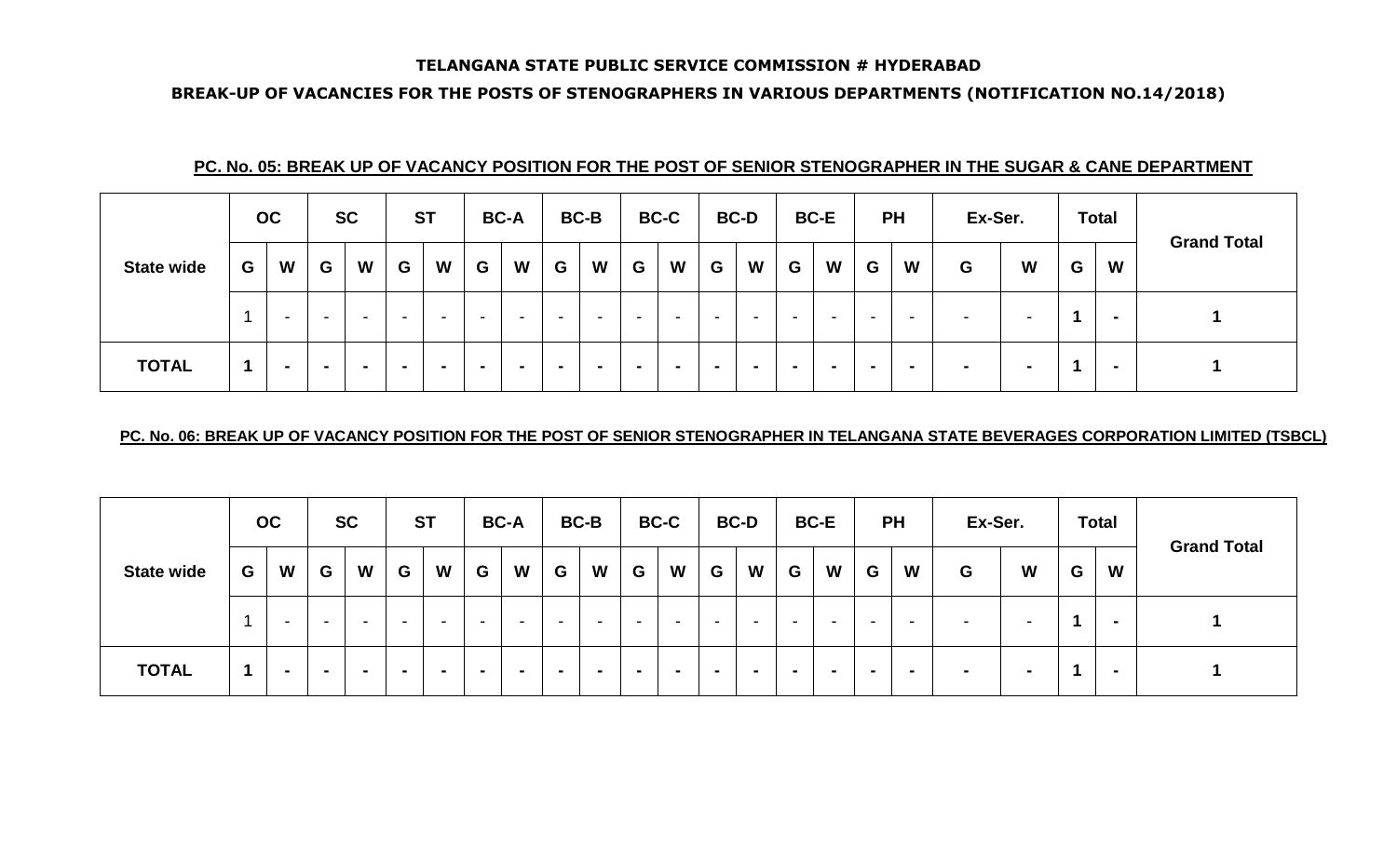#### **BREAK-UP OF VACANCIES FOR THE POSTS OF STENOGRAPHERS IN VARIOUS DEPARTMENTS (NOTIFICATION NO.14/2018)**

|                   |                      | OC                       |   | <b>SC</b>                |                          | <b>ST</b>                |   | <b>BC-A</b> |                | <b>BC-B</b>              |                          | <b>BC-C</b> |                          | <b>BC-D</b> |                          | <b>BC-E</b> |        | <b>PH</b>      | Ex-Ser.                  |                          |   | <b>Total</b>   | <b>Grand Total</b> |
|-------------------|----------------------|--------------------------|---|--------------------------|--------------------------|--------------------------|---|-------------|----------------|--------------------------|--------------------------|-------------|--------------------------|-------------|--------------------------|-------------|--------|----------------|--------------------------|--------------------------|---|----------------|--------------------|
| <b>State wide</b> | G                    | W                        | G | W                        | G                        | W                        | G | W           | G              | W                        | G                        | W           | G                        | W           | G                        | W           | G      | W              | G                        | W                        | G | W              |                    |
|                   |                      | $\overline{\phantom{a}}$ |   | $\overline{\phantom{0}}$ | $\overline{\phantom{0}}$ | $\overline{\phantom{a}}$ |   | $\sim$      | -              | $\overline{\phantom{a}}$ | $\overline{\phantom{0}}$ |             | $\overline{\phantom{0}}$ |             | $\overline{\phantom{a}}$ |             | $\sim$ | -              | $\overline{\phantom{0}}$ | $\overline{\phantom{a}}$ |   | $\blacksquare$ |                    |
| <b>TOTAL</b>      | $\blacktriangleleft$ |                          |   | $\blacksquare$           | $\blacksquare$           |                          |   | $\sim$      | $\blacksquare$ |                          |                          |             |                          |             |                          | $\sim$      |        | $\blacksquare$ | $\overline{\phantom{0}}$ |                          |   | $\blacksquare$ |                    |

# **PC. No. 05: BREAK UP OF VACANCY POSITION FOR THE POST OF SENIOR STENOGRAPHER IN THE SUGAR & CANE DEPARTMENT**

#### **PC. No. 06: BREAK UP OF VACANCY POSITION FOR THE POST OF SENIOR STENOGRAPHER IN TELANGANA STATE BEVERAGES CORPORATION LIMITED (TSBCL)**

|                   |   | OC                       |                          | <b>SC</b>                |   | <b>ST</b>                |                          | <b>BC-A</b> |   | <b>BC-B</b>              |                          | <b>BC-C</b>              |                          | <b>BC-D</b>              |                          | <b>BC-E</b> |                          | <b>PH</b>                | Ex-Ser. |   |   | <b>Total</b> | <b>Grand Total</b> |
|-------------------|---|--------------------------|--------------------------|--------------------------|---|--------------------------|--------------------------|-------------|---|--------------------------|--------------------------|--------------------------|--------------------------|--------------------------|--------------------------|-------------|--------------------------|--------------------------|---------|---|---|--------------|--------------------|
| <b>State wide</b> | G | W                        | G                        | W                        | G | W                        | G                        | W           | G | W                        | G                        | W                        | G                        | W                        | G                        | W           | G                        | W                        | G       | W | G | W            |                    |
|                   |   | $\overline{\phantom{0}}$ | $\overline{\phantom{0}}$ | $\overline{\phantom{0}}$ |   | $\overline{\phantom{a}}$ | $\overline{\phantom{a}}$ | $\sim$      |   | $\overline{\phantom{a}}$ | $\overline{\phantom{0}}$ | $\overline{\phantom{0}}$ | $\overline{\phantom{0}}$ | $\overline{\phantom{a}}$ | $\overline{\phantom{0}}$ |             | $\overline{\phantom{0}}$ | $\overline{\phantom{a}}$ |         | - |   |              |                    |
| <b>TOTAL</b>      |   |                          |                          | $\overline{\phantom{a}}$ |   | $\overline{\phantom{a}}$ |                          |             | - |                          | $\overline{\phantom{a}}$ |                          | $\overline{\phantom{a}}$ |                          |                          |             | $\blacksquare$           | $\overline{\phantom{0}}$ |         |   |   |              |                    |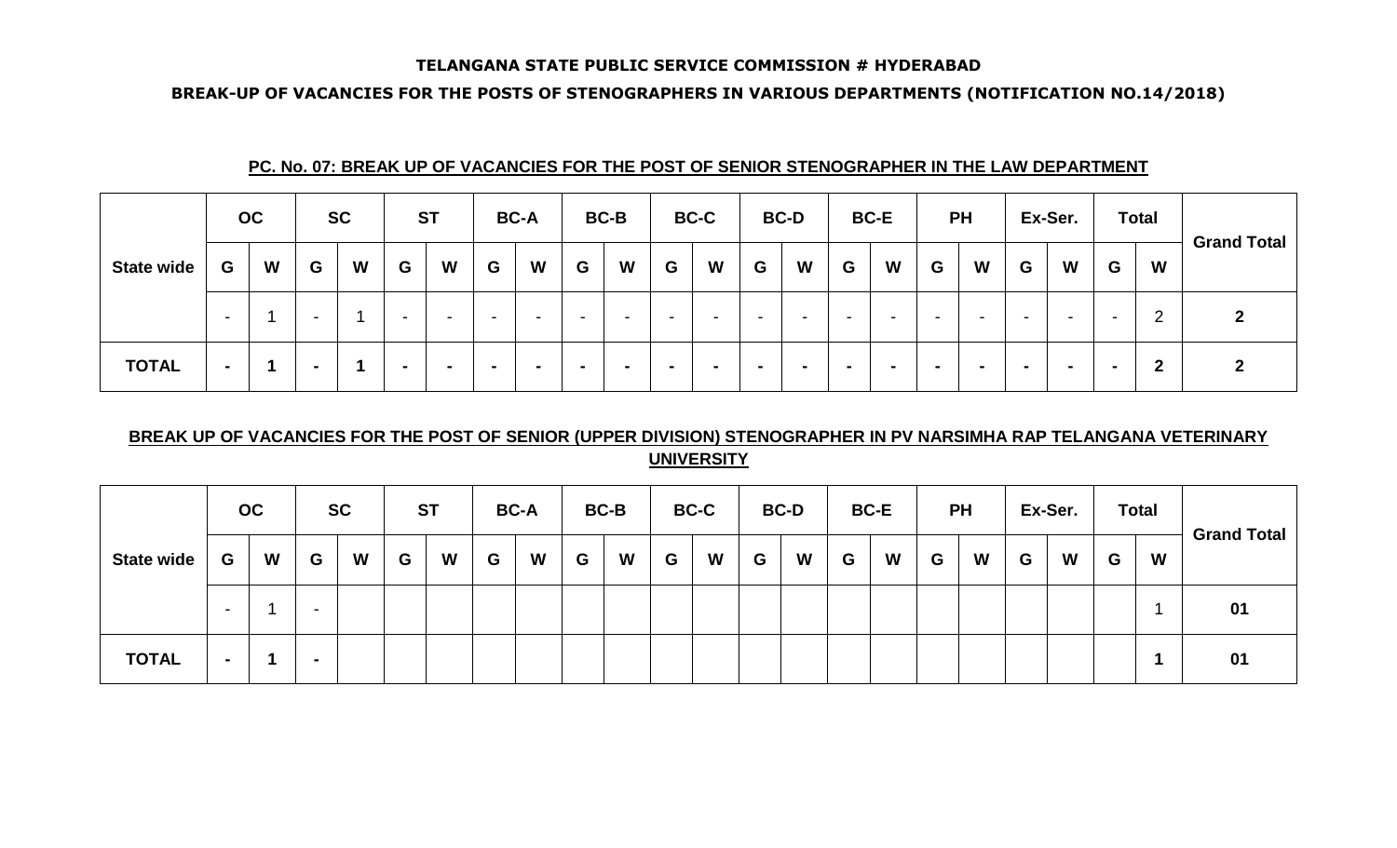#### **BREAK-UP OF VACANCIES FOR THE POSTS OF STENOGRAPHERS IN VARIOUS DEPARTMENTS (NOTIFICATION NO.14/2018)**

|                   |                          | OC |                          | <b>SC</b> |                          | <b>ST</b> |                          | <b>BC-A</b>              |                          | <b>BC-B</b>              |                          | <b>BC-C</b>              |                          | <b>BC-D</b>              |                          | <b>BC-E</b>              |                          | <b>PH</b>                |                          | Ex-Ser.                  |                          | <b>Total</b>     |                    |
|-------------------|--------------------------|----|--------------------------|-----------|--------------------------|-----------|--------------------------|--------------------------|--------------------------|--------------------------|--------------------------|--------------------------|--------------------------|--------------------------|--------------------------|--------------------------|--------------------------|--------------------------|--------------------------|--------------------------|--------------------------|------------------|--------------------|
| <b>State wide</b> | G                        | W  | G                        | W         | G                        | W         | G                        | W                        | G                        | W                        | G                        | W                        | G                        | W                        | G                        | W                        | G                        | W                        | G                        | W                        | G                        | W                | <b>Grand Total</b> |
|                   | $\overline{\phantom{a}}$ |    | $\overline{\phantom{0}}$ |           | $\overline{\phantom{0}}$ |           | $\overline{\phantom{0}}$ | $\overline{\phantom{0}}$ | $\overline{\phantom{0}}$ | $\overline{\phantom{0}}$ | $\overline{\phantom{a}}$ | -                        | $\overline{\phantom{a}}$ | $\overline{\phantom{0}}$ | $\overline{\phantom{0}}$ | $\overline{\phantom{0}}$ | $\overline{\phantom{a}}$ | $\overline{\phantom{0}}$ | $\overline{\phantom{a}}$ | $\overline{\phantom{a}}$ | $\overline{\phantom{0}}$ | റ<br><u>_</u>    |                    |
| <b>TOTAL</b>      |                          |    | $\overline{\phantom{0}}$ |           | $\blacksquare$           |           | $\overline{\phantom{0}}$ |                          |                          |                          | . .                      | $\overline{\phantom{0}}$ |                          |                          |                          |                          | $\sim$                   | $\sim$                   |                          | . .                      | . .                      | $\boldsymbol{2}$ |                    |

# **PC. No. 07: BREAK UP OF VACANCIES FOR THE POST OF SENIOR STENOGRAPHER IN THE LAW DEPARTMENT**

# **BREAK UP OF VACANCIES FOR THE POST OF SENIOR (UPPER DIVISION) STENOGRAPHER IN PV NARSIMHA RAP TELANGANA VETERINARY UNIVERSITY**

|                   |                          | OC |                          | <b>SC</b> |   | <b>ST</b> |   | <b>BC-A</b> |   | <b>BC-B</b> |   | <b>BC-C</b> |   | <b>BC-D</b> |   | <b>BC-E</b> |   | <b>PH</b> |   | Ex-Ser. |   | <b>Total</b> | <b>Grand Total</b> |
|-------------------|--------------------------|----|--------------------------|-----------|---|-----------|---|-------------|---|-------------|---|-------------|---|-------------|---|-------------|---|-----------|---|---------|---|--------------|--------------------|
| <b>State wide</b> | G                        | W  | G                        | W         | G | W         | G | W           | G | W           | G | W           | G | W           | G | W           | G | W         | G | W       | G | W            |                    |
|                   | $\overline{\phantom{0}}$ |    | $\overline{\phantom{0}}$ |           |   |           |   |             |   |             |   |             |   |             |   |             |   |           |   |         |   |              | 01                 |
| <b>TOTAL</b>      | $\sim$                   |    | . .                      |           |   |           |   |             |   |             |   |             |   |             |   |             |   |           |   |         |   |              | 01                 |